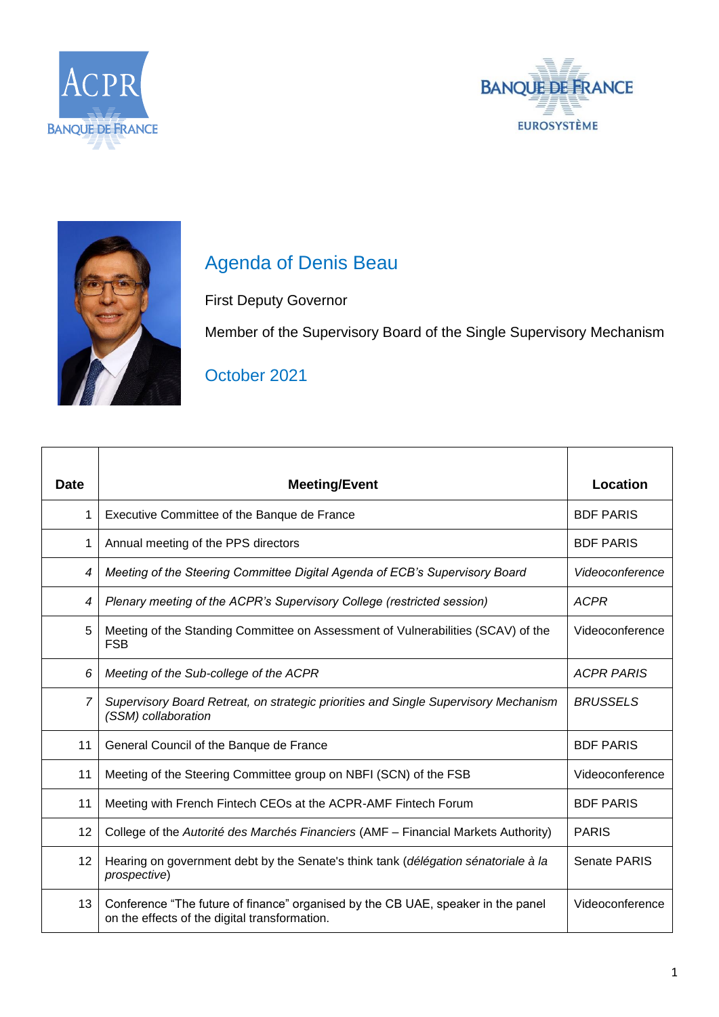





## Agenda of Denis Beau

First Deputy Governor

Member of the Supervisory Board of the Single Supervisory Mechanism

## October 2021

| <b>Date</b>    | <b>Meeting/Event</b>                                                                                                              | Location          |
|----------------|-----------------------------------------------------------------------------------------------------------------------------------|-------------------|
| 1              | Executive Committee of the Banque de France                                                                                       | <b>BDF PARIS</b>  |
| 1              | Annual meeting of the PPS directors                                                                                               | <b>BDF PARIS</b>  |
| 4              | Meeting of the Steering Committee Digital Agenda of ECB's Supervisory Board                                                       | Videoconference   |
| 4              | Plenary meeting of the ACPR's Supervisory College (restricted session)                                                            | <b>ACPR</b>       |
| 5              | Meeting of the Standing Committee on Assessment of Vulnerabilities (SCAV) of the<br><b>FSB</b>                                    | Videoconference   |
| 6              | Meeting of the Sub-college of the ACPR                                                                                            | <b>ACPR PARIS</b> |
| $\overline{7}$ | Supervisory Board Retreat, on strategic priorities and Single Supervisory Mechanism<br>(SSM) collaboration                        | <b>BRUSSELS</b>   |
| 11             | General Council of the Banque de France                                                                                           | <b>BDF PARIS</b>  |
| 11             | Meeting of the Steering Committee group on NBFI (SCN) of the FSB                                                                  | Videoconference   |
| 11             | Meeting with French Fintech CEOs at the ACPR-AMF Fintech Forum                                                                    | <b>BDF PARIS</b>  |
| 12             | College of the Autorité des Marchés Financiers (AMF - Financial Markets Authority)                                                | <b>PARIS</b>      |
| 12             | Hearing on government debt by the Senate's think tank (délégation sénatoriale à la<br>prospective)                                | Senate PARIS      |
| 13             | Conference "The future of finance" organised by the CB UAE, speaker in the panel<br>on the effects of the digital transformation. | Videoconference   |